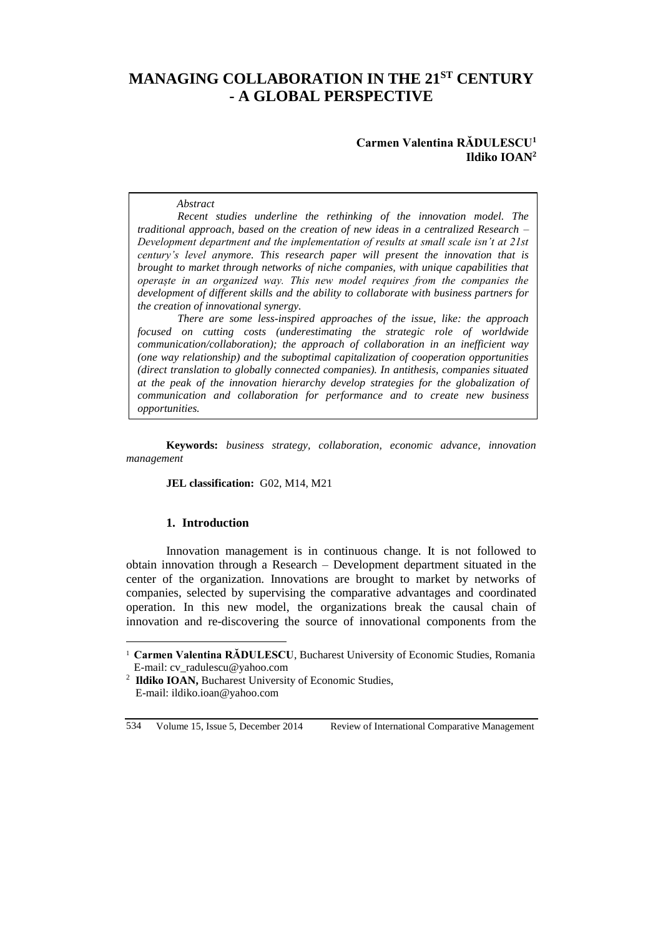# **MANAGING COLLABORATION IN THE 21ST CENTURY - A GLOBAL PERSPECTIVE**

## **Carmen Valentina RĂDULESCU<sup>1</sup> Ildiko IOAN<sup>2</sup>**

#### *Abstract*

*Recent studies underline the rethinking of the innovation model. The traditional approach, based on the creation of new ideas in a centralized Research – Development department and the implementation of results at small scale isn't at 21st century's level anymore. This research paper will present the innovation that is brought to market through networks of niche companies, with unique capabilities that operaște in an organized way. This new model requires from the companies the development of different skills and the ability to collaborate with business partners for the creation of innovational synergy.*

*There are some less-inspired approaches of the issue, like: the approach focused on cutting costs (underestimating the strategic role of worldwide communication/collaboration); the approach of collaboration in an inefficient way (one way relationship) and the suboptimal capitalization of cooperation opportunities (direct translation to globally connected companies). In antithesis, companies situated at the peak of the innovation hierarchy develop strategies for the globalization of communication and collaboration for performance and to create new business opportunities.*

**Keywords:** *business strategy, collaboration, economic advance, innovation management*

#### **JEL classification:** G02, M14, M21

#### **1. Introduction**

 $\overline{a}$ 

Innovation management is in continuous change. It is not followed to obtain innovation through a Research – Development department situated in the center of the organization. Innovations are brought to market by networks of companies, selected by supervising the comparative advantages and coordinated operation. In this new model, the organizations break the causal chain of innovation and re-discovering the source of innovational components from the

534 Volume 15, Issue 5, December 2014 Review of International Comparative Management

<sup>&</sup>lt;sup>1</sup> **Carmen Valentina RĂDULESCU**, Bucharest University of Economic Studies, Romania E-mail: cv\_radulescu@yahoo.com

<sup>&</sup>lt;sup>2</sup> Ildiko IOAN, Bucharest University of Economic Studies, E-mail: ildiko.ioan@yahoo.com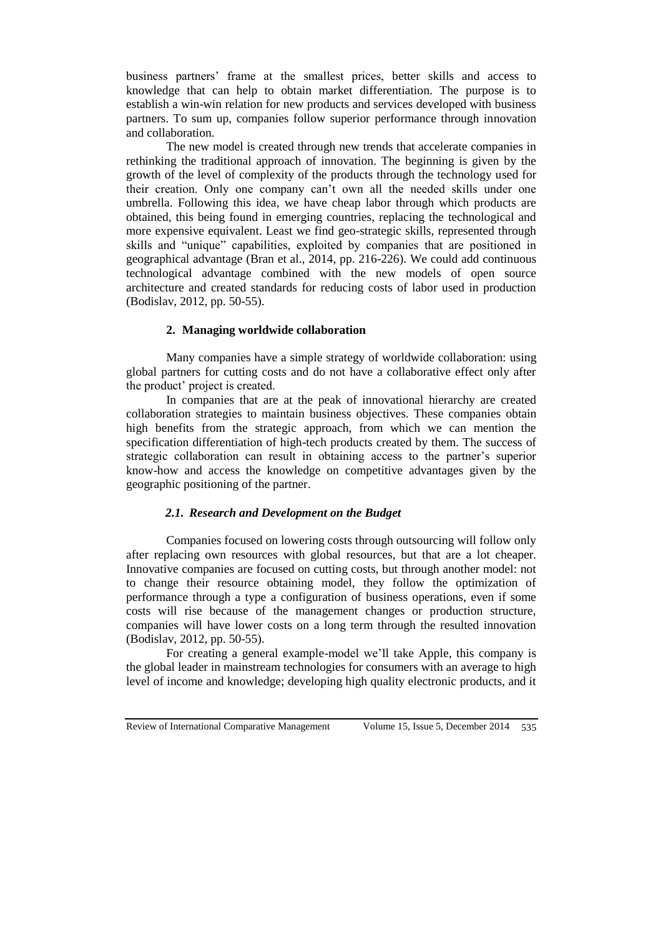business partners' frame at the smallest prices, better skills and access to knowledge that can help to obtain market differentiation. The purpose is to establish a win-win relation for new products and services developed with business partners. To sum up, companies follow superior performance through innovation and collaboration.

The new model is created through new trends that accelerate companies in rethinking the traditional approach of innovation. The beginning is given by the growth of the level of complexity of the products through the technology used for their creation. Only one company can't own all the needed skills under one umbrella. Following this idea, we have cheap labor through which products are obtained, this being found in emerging countries, replacing the technological and more expensive equivalent. Least we find geo-strategic skills, represented through skills and "unique" capabilities, exploited by companies that are positioned in geographical advantage (Bran et al., 2014, pp. 216-226). We could add continuous technological advantage combined with the new models of open source architecture and created standards for reducing costs of labor used in production (Bodislav, 2012, pp. 50-55).

# **2. Managing worldwide collaboration**

Many companies have a simple strategy of worldwide collaboration: using global partners for cutting costs and do not have a collaborative effect only after the product' project is created.

In companies that are at the peak of innovational hierarchy are created collaboration strategies to maintain business objectives. These companies obtain high benefits from the strategic approach, from which we can mention the specification differentiation of high-tech products created by them. The success of strategic collaboration can result in obtaining access to the partner's superior know-how and access the knowledge on competitive advantages given by the geographic positioning of the partner.

#### *2.1. Research and Development on the Budget*

Companies focused on lowering costs through outsourcing will follow only after replacing own resources with global resources, but that are a lot cheaper. Innovative companies are focused on cutting costs, but through another model: not to change their resource obtaining model, they follow the optimization of performance through a type a configuration of business operations, even if some costs will rise because of the management changes or production structure, companies will have lower costs on a long term through the resulted innovation (Bodislav, 2012, pp. 50-55).

For creating a general example-model we'll take Apple, this company is the global leader in mainstream technologies for consumers with an average to high level of income and knowledge; developing high quality electronic products, and it

Review of International Comparative Management Volume 15, Issue 5, December 2014 535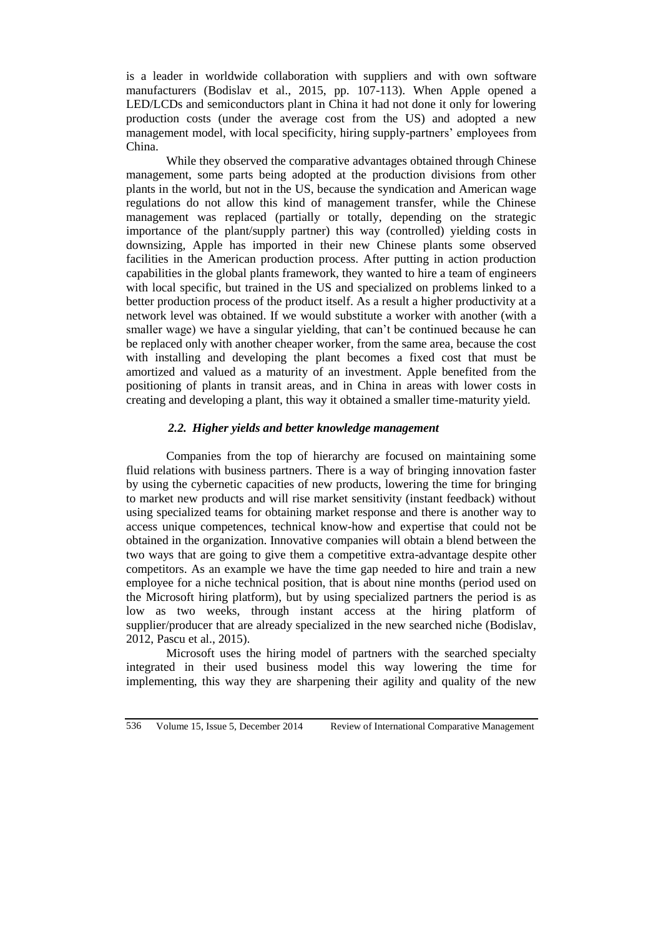is a leader in worldwide collaboration with suppliers and with own software manufacturers (Bodislav et al., 2015, pp. 107-113). When Apple opened a LED/LCDs and semiconductors plant in China it had not done it only for lowering production costs (under the average cost from the US) and adopted a new management model, with local specificity, hiring supply-partners' employees from China.

While they observed the comparative advantages obtained through Chinese management, some parts being adopted at the production divisions from other plants in the world, but not in the US, because the syndication and American wage regulations do not allow this kind of management transfer, while the Chinese management was replaced (partially or totally, depending on the strategic importance of the plant/supply partner) this way (controlled) yielding costs in downsizing, Apple has imported in their new Chinese plants some observed facilities in the American production process. After putting in action production capabilities in the global plants framework, they wanted to hire a team of engineers with local specific, but trained in the US and specialized on problems linked to a better production process of the product itself. As a result a higher productivity at a network level was obtained. If we would substitute a worker with another (with a smaller wage) we have a singular yielding, that can't be continued because he can be replaced only with another cheaper worker, from the same area, because the cost with installing and developing the plant becomes a fixed cost that must be amortized and valued as a maturity of an investment. Apple benefited from the positioning of plants in transit areas, and in China in areas with lower costs in creating and developing a plant, this way it obtained a smaller time-maturity yield.

## *2.2. Higher yields and better knowledge management*

Companies from the top of hierarchy are focused on maintaining some fluid relations with business partners. There is a way of bringing innovation faster by using the cybernetic capacities of new products, lowering the time for bringing to market new products and will rise market sensitivity (instant feedback) without using specialized teams for obtaining market response and there is another way to access unique competences, technical know-how and expertise that could not be obtained in the organization. Innovative companies will obtain a blend between the two ways that are going to give them a competitive extra-advantage despite other competitors. As an example we have the time gap needed to hire and train a new employee for a niche technical position, that is about nine months (period used on the Microsoft hiring platform), but by using specialized partners the period is as low as two weeks, through instant access at the hiring platform of supplier/producer that are already specialized in the new searched niche (Bodislav, 2012, Pascu et al., 2015).

Microsoft uses the hiring model of partners with the searched specialty integrated in their used business model this way lowering the time for implementing, this way they are sharpening their agility and quality of the new

536 Volume 15, Issue 5, December 2014 Review of International Comparative Management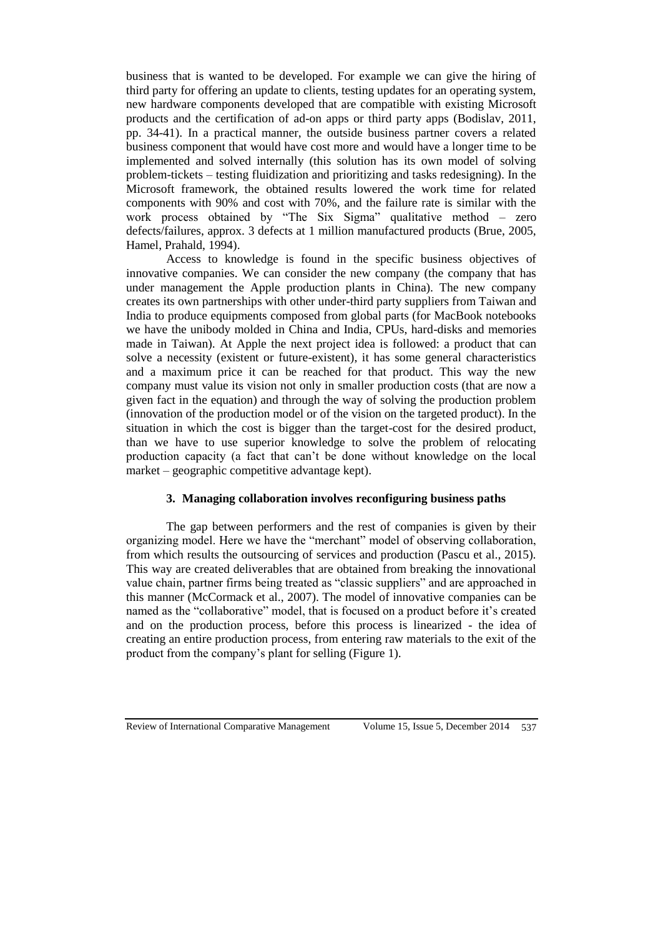business that is wanted to be developed. For example we can give the hiring of third party for offering an update to clients, testing updates for an operating system, new hardware components developed that are compatible with existing Microsoft products and the certification of ad-on apps or third party apps (Bodislav, 2011, pp. 34-41). In a practical manner, the outside business partner covers a related business component that would have cost more and would have a longer time to be implemented and solved internally (this solution has its own model of solving problem-tickets – testing fluidization and prioritizing and tasks redesigning). In the Microsoft framework, the obtained results lowered the work time for related components with 90% and cost with 70%, and the failure rate is similar with the work process obtained by "The Six Sigma" qualitative method – zero defects/failures, approx. 3 defects at 1 million manufactured products (Brue, 2005, Hamel, Prahald, 1994).

Access to knowledge is found in the specific business objectives of innovative companies. We can consider the new company (the company that has under management the Apple production plants in China). The new company creates its own partnerships with other under-third party suppliers from Taiwan and India to produce equipments composed from global parts (for MacBook notebooks we have the unibody molded in China and India, CPUs, hard-disks and memories made in Taiwan). At Apple the next project idea is followed: a product that can solve a necessity (existent or future-existent), it has some general characteristics and a maximum price it can be reached for that product. This way the new company must value its vision not only in smaller production costs (that are now a given fact in the equation) and through the way of solving the production problem (innovation of the production model or of the vision on the targeted product). In the situation in which the cost is bigger than the target-cost for the desired product, than we have to use superior knowledge to solve the problem of relocating production capacity (a fact that can't be done without knowledge on the local market – geographic competitive advantage kept).

# **3. Managing collaboration involves reconfiguring business paths**

The gap between performers and the rest of companies is given by their organizing model. Here we have the "merchant" model of observing collaboration, from which results the outsourcing of services and production (Pascu et al., 2015). This way are created deliverables that are obtained from breaking the innovational value chain, partner firms being treated as "classic suppliers" and are approached in this manner (McCormack et al., 2007). The model of innovative companies can be named as the "collaborative" model, that is focused on a product before it's created and on the production process, before this process is linearized - the idea of creating an entire production process, from entering raw materials to the exit of the product from the company's plant for selling (Figure 1).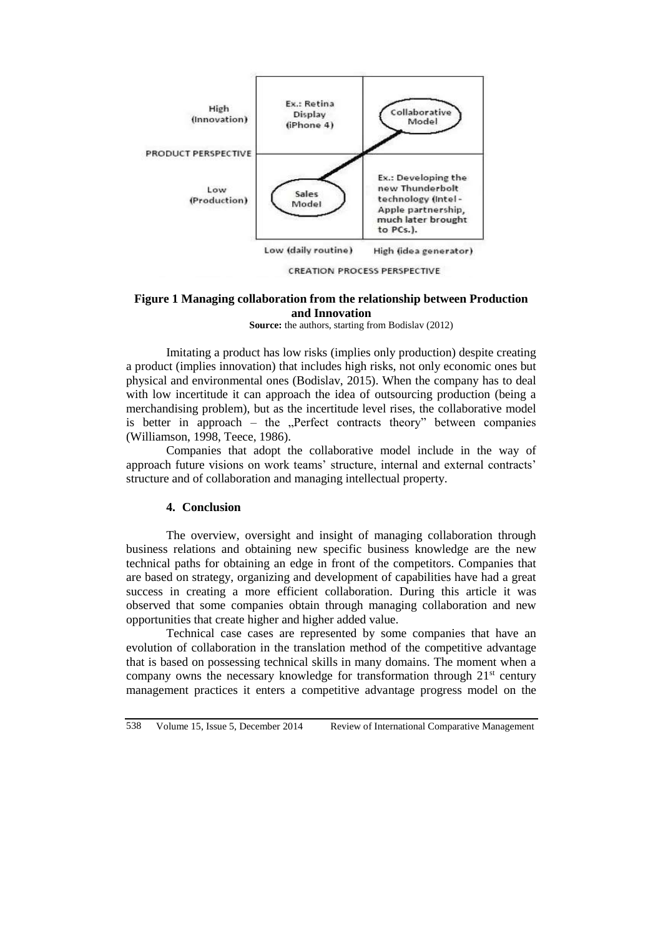

**CREATION PROCESS PERSPECTIVE** 

## **Figure 1 Managing collaboration from the relationship between Production and Innovation**

**Source:** the authors, starting from Bodislav (2012)

Imitating a product has low risks (implies only production) despite creating a product (implies innovation) that includes high risks, not only economic ones but physical and environmental ones (Bodislav, 2015). When the company has to deal with low incertitude it can approach the idea of outsourcing production (being a merchandising problem), but as the incertitude level rises, the collaborative model is better in approach – the  $n$ -Perfect contracts theory" between companies (Williamson, 1998, Teece, 1986).

Companies that adopt the collaborative model include in the way of approach future visions on work teams' structure, internal and external contracts' structure and of collaboration and managing intellectual property.

## **4. Conclusion**

The overview, oversight and insight of managing collaboration through business relations and obtaining new specific business knowledge are the new technical paths for obtaining an edge in front of the competitors. Companies that are based on strategy, organizing and development of capabilities have had a great success in creating a more efficient collaboration. During this article it was observed that some companies obtain through managing collaboration and new opportunities that create higher and higher added value.

Technical case cases are represented by some companies that have an evolution of collaboration in the translation method of the competitive advantage that is based on possessing technical skills in many domains. The moment when a company owns the necessary knowledge for transformation through  $21<sup>st</sup>$  century management practices it enters a competitive advantage progress model on the

538 Volume 15, Issue 5, December 2014 Review of International Comparative Management